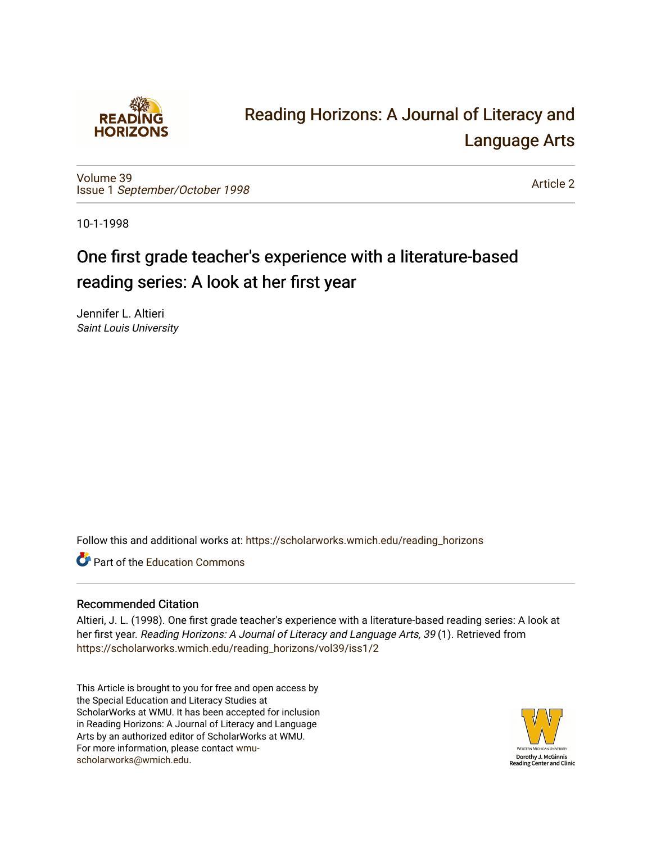

# [Reading Horizons: A Journal of Literacy and](https://scholarworks.wmich.edu/reading_horizons)  [Language Arts](https://scholarworks.wmich.edu/reading_horizons)

[Volume 39](https://scholarworks.wmich.edu/reading_horizons/vol39) Issue 1 [September/October 1998](https://scholarworks.wmich.edu/reading_horizons/vol39/iss1) 

[Article 2](https://scholarworks.wmich.edu/reading_horizons/vol39/iss1/2) 

10-1-1998

## One first grade teacher's experience with a literature-based reading series: A look at her first year

Jennifer L. Altieri Saint Louis University

Follow this and additional works at: [https://scholarworks.wmich.edu/reading\\_horizons](https://scholarworks.wmich.edu/reading_horizons?utm_source=scholarworks.wmich.edu%2Freading_horizons%2Fvol39%2Fiss1%2F2&utm_medium=PDF&utm_campaign=PDFCoverPages)

**C** Part of the [Education Commons](http://network.bepress.com/hgg/discipline/784?utm_source=scholarworks.wmich.edu%2Freading_horizons%2Fvol39%2Fiss1%2F2&utm_medium=PDF&utm_campaign=PDFCoverPages)

### Recommended Citation

Altieri, J. L. (1998). One first grade teacher's experience with a literature-based reading series: A look at her first year. Reading Horizons: A Journal of Literacy and Language Arts, 39 (1). Retrieved from [https://scholarworks.wmich.edu/reading\\_horizons/vol39/iss1/2](https://scholarworks.wmich.edu/reading_horizons/vol39/iss1/2?utm_source=scholarworks.wmich.edu%2Freading_horizons%2Fvol39%2Fiss1%2F2&utm_medium=PDF&utm_campaign=PDFCoverPages) 

This Article is brought to you for free and open access by the Special Education and Literacy Studies at ScholarWorks at WMU. It has been accepted for inclusion in Reading Horizons: A Journal of Literacy and Language Arts by an authorized editor of ScholarWorks at WMU. For more information, please contact [wmu](mailto:wmu-scholarworks@wmich.edu)[scholarworks@wmich.edu.](mailto:wmu-scholarworks@wmich.edu)

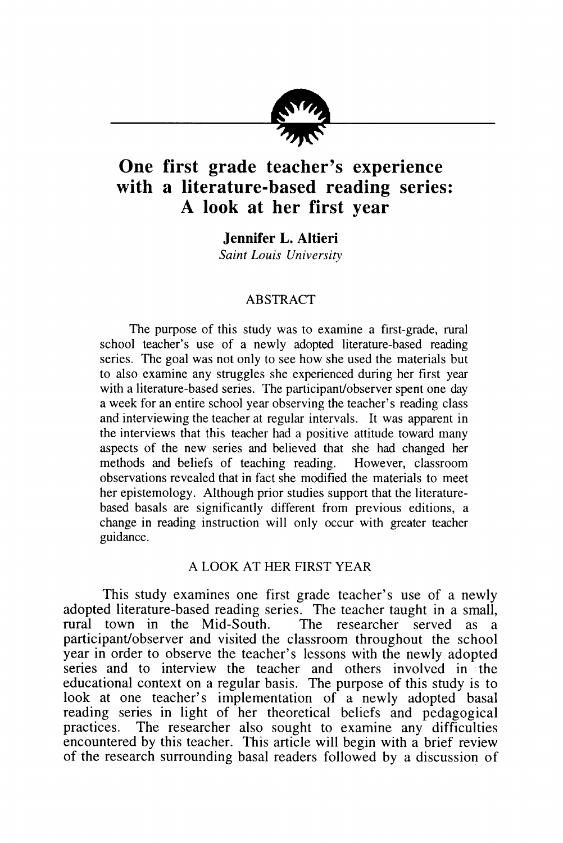

### *One first grade teacher's experience with a literature-based reading series: A look at her first year*

*Jennifer L. Altieri*

**Saint Louis University**

#### ABSTRACT

The purpose of this study was to examine a first-grade, rural school teacher's use of a newly adopted literature-based reading series. The goal was not only to see how she used the materials but to also examine any struggles she experienced during her first year with a literature-based series. The participant/observer spent one day a week for an entire school year observing the teacher's reading class and interviewing the teacher at regular intervals. It was apparent in the interviews that this teacher had a positive attitude toward many aspects of the new series and believed that she had changed her methods and beliefs of teaching reading. However, classroom observations revealed that in fact she modified the materials to meet her epistemology. Although prior studies support that the literaturebased basals are significantly different from previous editions, a change in reading instruction will only occur with greater teacher guidance.

#### A LOOK AT HER FIRST YEAR

This study examines one first grade teacher's use of a newly adopted literature-based reading series. The teacher taught in a small, rural town in the Mid-South. The researcher served as a rural town in the Mid-South. participant/observer and visited the classroom throughout the school year in order to observe the teacher's lessons with the newly adopted series and to interview the teacher and others involved in the educational context on a regular basis. The purpose of this study is to look at one teacher's implementation of a newly adopted basal reading series in light of her theoretical beliefs and pedagogical practices. The researcher also sought to examine any difficulties encountered by this teacher. This article will begin with a brief review of the research surrounding basal readers followed by a discussion of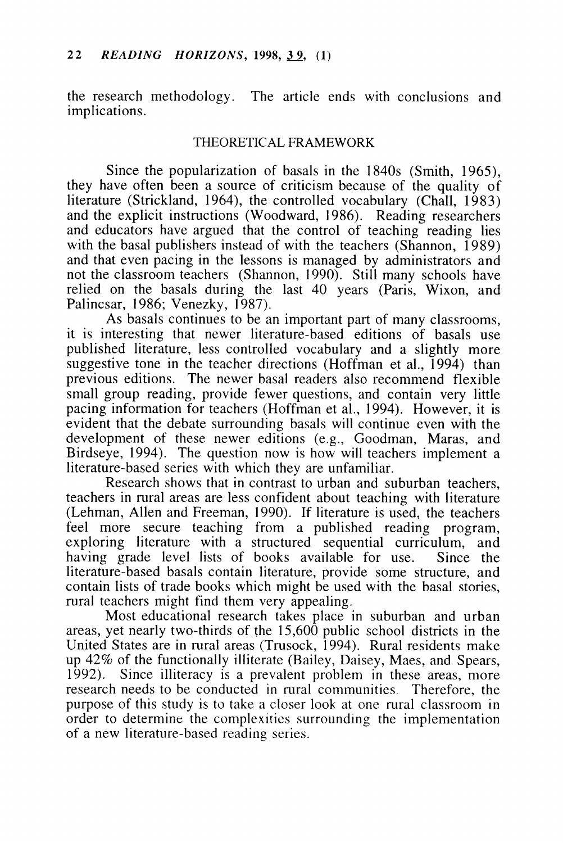the research methodology. The article ends with conclusions and implications.

#### THEORETICAL FRAMEWORK

Since the popularization of basals in the 1840s (Smith, 1965), they have often been a source of criticism because of the quality of literature (Strickland, 1964), the controlled vocabulary (Chall, 1983) and the explicit instructions (Woodward, 1986). Reading researchers and educators have argued that the control of teaching reading lies with the basal publishers instead of with the teachers (Shannon,  $1989$ ) and that even pacing in the lessons is managed by administrators and not the classroom teachers (Shannon, 1990). Still many schools have relied on the basals during the last 40 years (Paris, Wixon, and Palincsar, 1986; Venezky, 1987).

As basals continues to be an important part of many classrooms, it is interesting that newer literature-based editions of basals use published literature, less controlled vocabulary and a slightly more suggestive tone in the teacher directions (Hoffman et al., 1994) than previous editions. The newer basal readers also recommend flexible small group reading, provide fewer questions, and contain very little pacing information for teachers (Hoffman et al., 1994). However, it is evident that the debate surrounding basals will continue even with the development of these newer editions (e.g., Goodman, Maras, and Birdseye, 1994). The question now is how will teachers implement a literature-based series with which they are unfamiliar.

Research shows that in contrast to urban and suburban teachers, teachers in rural areas are less confident about teaching with literature (Lehman, Allen and Freeman, 1990). If literature is used, the teachers feel more secure teaching from a published reading program, exploring literature with a structured sequential curriculum, and having grade level lists of books available for use. Since the literature-based basals contain literature, provide some structure, and contain lists of trade books which might be used with the basal stories, rural teachers might find them very appealing.

Most educational research takes place in suburban and urban areas, yet nearly two-thirds of the 15,600 public school districts in the United States are in rural areas (Trusock, 1994). Rural residents make up 42% of the functionally illiterate (Bailey, Daisey, Maes, and Spears, 1992). Since illiteracy is a prevalent problem in these areas, more research needs to be conducted in rural communities. Therefore, the purpose of this study is to take a closer look at one rural classroom in order to determine the complexities surrounding the implementation of a new literature-based reading series.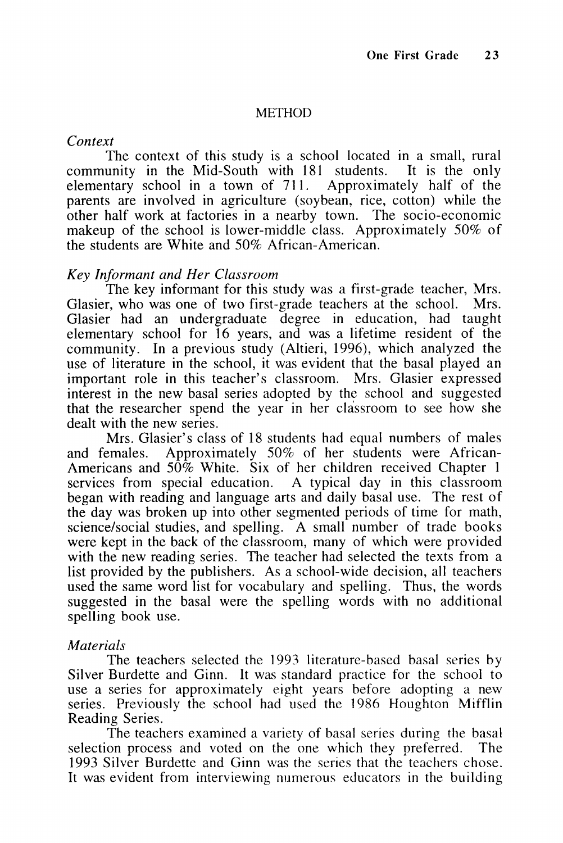#### **METHOD**

#### **Context**

The context of this study is a school located in a small, rural community in the Mid-South with 181 students. It is the only elementary school in a town of 711. Approximately half of the parents are involved in agriculture (soybean, rice, cotton) while the other half work at factories in a nearby town. The socio-economic makeup of the school is lower-middle class. Approximately 50% of the students are White and 50% African-American.

#### **Key Informant and Her Classroom**

The key informant for this study was a first-grade teacher, Mrs. Glasier, who was one of two first-grade teachers at the school. Mrs. Glasier had an undergraduate degree in education, had taught elementary school for 16 years, and was a lifetime resident of the community. In a previous study (Altieri, 1996), which analyzed the use of literature in the school, it was evident that the basal played an important role in this teacher's classroom. Mrs. Glasier expressed interest in the new basal series adopted by the school and suggested that the researcher spend the year in her classroom to see how she dealt with the new series.

Mrs. Glasier's class of 18 students had equal numbers of males<br>and females. Approximately 50% of her students were African-Approximately 50% of her students were African-Americans and  $50\%$  White. Six of her children received Chapter 1 services from special education. A typical day in this classroom began with reading and language arts and daily basal use. The rest of the day was broken up into other segmented periods of time for math, science/social studies, and spelling. A small number of trade books were kept in the back of the classroom, many of which were provided with the new reading series. The teacher had selected the texts from a list provided by the publishers. As a school-wide decision, all teachers used the same word list for vocabulary and spelling. Thus, the words suggested in the basal were the spelling words with no additional spelling book use.

#### **Materials**

The teachers selected the 1993 literature-based basal series by Silver Burdette and Ginn. It was standard practice for the school to use a series for approximately eight years before adopting a new series. Previously the school had used the 1986 Houghton Mifflin Reading Series.

The teachers examined a variety of basal series during the basal selection process and voted on the one which they preferred. The 1993 Silver Burdette and Ginn was the series that the teachers chose. It was evident from interviewing numerous educators in the building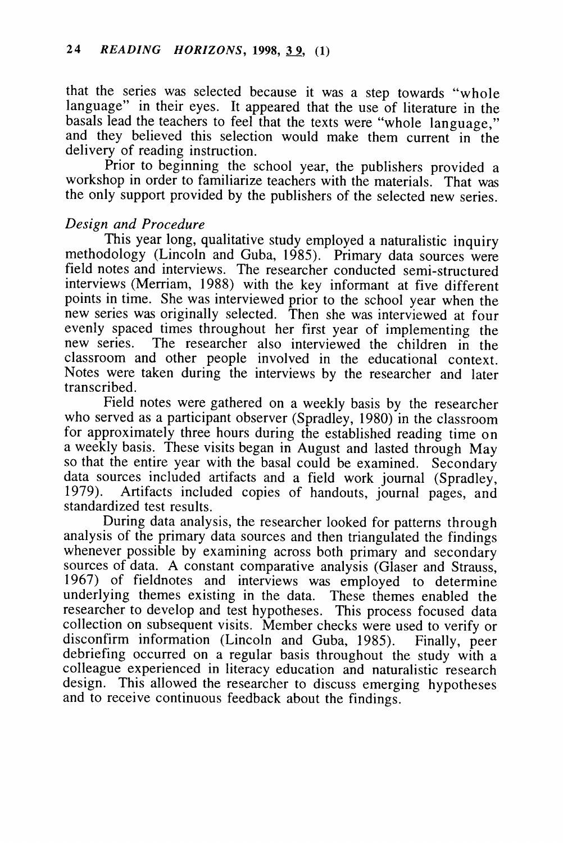that the series was selected because it was a step towards "whole language" in their eyes. It appeared that the use of literature in the basals lead the teachers to feel that the texts were "whole language," and they believed this selection would make them current in the delivery of reading instruction.

Prior to beginning the school year, the publishers provided a workshop in order to familiarize teachers with the materials. That was the only support provided by the publishers of the selected new series.

#### **Design and Procedure**

This year long, qualitative study employed a naturalistic inquiry methodology (Lincoln and Guba, 1985). Primary data sources were field notes and interviews. The researcher conducted semi-structured interviews (Merriam, 1988) with the key informant at five different points in time. She was interviewed prior to the school year when the new series was originally selected. Then she was interviewed at four evenly spaced times throughout her first year of implementing the new series. The researcher also interviewed the children in the The researcher also interviewed the children in the classroom and other people involved in the educational context. Notes were taken during the interviews by the researcher and later transcribed.

Field notes were gathered on a weekly basis by the researcher who served as a participant observer (Spradley, 1980) in the classroom for approximately three hours during the established reading time on a weekly basis. These visits began in August and lasted through May so that the entire year with the basal could be examined. Secondary data sources included artifacts and a field work journal (Spradley, 1979). Artifacts included copies of handouts journal pages and Artifacts included copies of handouts, journal pages, and standardized test results.

During data analysis, the researcher looked for patterns through analysis of the primary data sources and then triangulated the findings whenever possible by examining across both primary and secondary sources of data. A constant comparative analysis (Glaser and Strauss, 1967) of fieldnotes and interviews was employed to determine underlying themes existing in the data. These themes enabled the researcher to develop and test hypotheses. This process focused data collection on subsequent visits. Member checks were used to verify or disconfirm information (Lincoln and Guba, 1985). Finally, peer debriefing occurred on a regular basis throughout the study with a colleague experienced in literacy education and naturalistic research design. This allowed the researcher to discuss emerging hypotheses and to receive continuous feedback about the findings.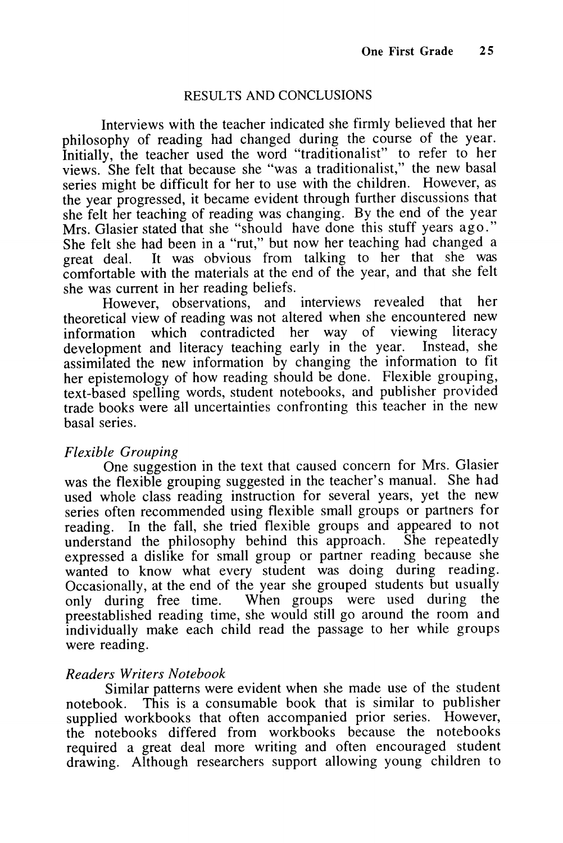#### RESULTS AND CONCLUSIONS

Interviews with the teacher indicated she firmly believed that her philosophy of reading had changed during the course of the year. Initially, the teacher used the word "traditionalist" to refer to her views. She felt that because she "was a traditionalist," the new basal series might be difficult for her to use with the children. However, as the year progressed, it became evident through further discussions that she felt her teaching of reading was changing. By the end of the year Mrs. Glasier stated that she "should have done this stuff years ago." She felt she had been in a "rut," but now her teaching had changed a great deal. It was obvious from talking to her that she was comfortable with the materials at the end of the year, and that she felt she was current in her reading beliefs.

However, observations, and interviews revealed that her theoretical view of reading was not altered when she encountered new information which contradicted her way of viewing literacy<br>development and literacy teaching early in the year. Instead, she development and literacy teaching early in the year. assimilated the new information by changing the information to fit her epistemology of how reading should be done. Flexible grouping, text-based spelling words, student notebooks, and publisher provided trade books were all uncertainties confronting this teacher in the new basal series.

#### **Flexible Grouping**

One suggestion in the text that caused concern for Mrs. Glasier was the flexible grouping suggested in the teacher's manual. She had used whole class reading instruction for several years, yet the new series often recommended using flexible small groups or partners for reading. In the fall, she tried flexible groups and appeared to not understand the philosophy behind this approach. She repeatedly expressed a dislike for small group or partner reading because she wanted to know what every student was doing during reading. Occasionally, at the end of the year she grouped students but usually<br>only during free time. When groups were used during the only during free time. When groups were used during preestablished reading time, she would still go around the room and individually make each child read the passage to her while groups were reading.

#### **Readers Writers Notebook**

Similar patterns were evident when she made use of the student notebook. This is a consumable book that is similar to publisher supplied workbooks that often accompanied prior series. However, the notebooks differed from workbooks because the notebooks required a great deal more writing and often encouraged student drawing. Although researchers support allowing young children to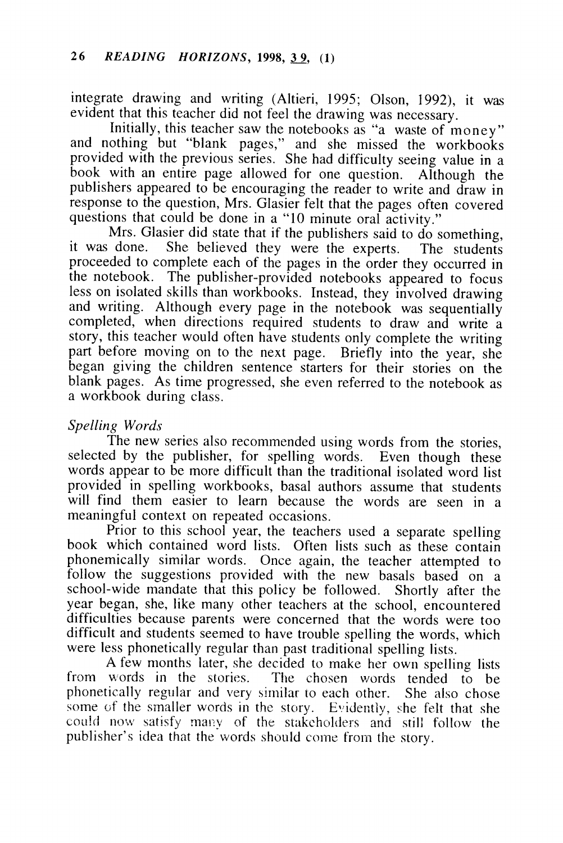integrate drawing and writing (Altieri, 1995; Olson, 1992), it was evident that this teacher did not feel the drawing was necessary.

Initially, this teacher saw the notebooks as "a waste of money" and nothing but "blank pages," and she missed the workbooks provided with the previous series. She had difficulty seeing value in a book with an entire page allowed for one question. Although the publishers appeared to be encouraging the reader to write and draw in response to the question, Mrs. Glasier felt that the pages often covered questions that could be done in a "10 minute oral activity."

Mrs. Glasier did state that if the publishers said to do something,<br>it was done. She believed they were the experts. The students She believed they were the experts. The students proceeded to complete each of the pages in the order they occurred in the notebook. The publisher-provided notebooks appeared to focus less on isolated skills than workbooks. Instead, they involved drawing and writing. Although every page in the notebook was sequentially completed, when directions required students to draw and write a story, this teacher would often have students only complete the writing part before moving on to the next page. Briefly into the year, she began giving the children sentence starters for their stories on the blank pages. As time progressed, she even referred to the notebook as a workbook during class.

#### **Spelling Words**

The new series also recommended using words from the stories, selected by the publisher, for spelling words. Even though these words appear to be more difficult than the traditional isolated word list provided in spelling workbooks, basal authors assume that students will find them easier to learn because the words are seen in a meaningful context on repeated occasions.

Prior to this school year, the teachers used a separate spelling book which contained word lists. Often lists such as these contain phonemically similar words. Once again, the teacher attempted to follow the suggestions provided with the new basals based on a school-wide mandate that this policy be followed. Shortly after the year began, she, like many other teachers at the school, encountered difficulties because parents were concerned that the words were too difficult and students seemed to have trouble spelling the words, which were less phonetically regular than past traditional spelling lists.

A few months later, she decided to make her own spelling lists from words in the stories. The chosen words tended to be The chosen words tended to be phonetically regular and very similar to each other. She also chose some of the smaller words in the story. Evidently, she felt that she could now satisfy many of the stakeholders and still follow the publisher's idea that the words should come from the story.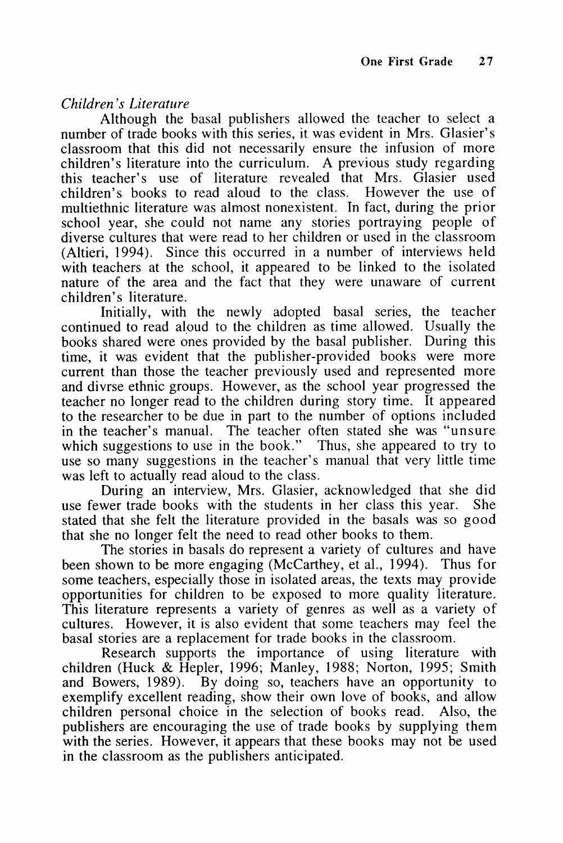**Children's Literature**

Although the basal publishers allowed the teacher to select a number of trade books with this series, it was evident in Mrs. Glasier's classroom that this did not necessarily ensure the infusion of more children's literature into the curriculum. A previous study regarding this teacher's use of literature revealed that Mrs. Glasier used children's books to read aloud to the class. However the use of multiethnic literature was almost nonexistent. In fact, during the prior school year, she could not name any stories portraying people of diverse cultures that were read to her children or used in the classroom (Altieri, 1994). Since this occurred in a number of interviews held with teachers at the school, it appeared to be linked to the isolated nature of the area and the fact that they were unaware of current children's literature.

Initially, with the newly adopted basal series, the teacher continued to read aloud to the children as time allowed. Usually the books shared were ones provided by the basal publisher. During this time, it was evident that the publisher-provided books were more current than those the teacher previously used and represented more and divrse ethnic groups. However, as the school year progressed the teacher no longer read to the children during story time. It appeared to the researcher to be due in part to the number of options included in the teacher's manual. The teacher often stated she was "unsure which suggestions to use in the book." Thus, she appeared to try to use so many suggestions in the teacher's manual that very little time was left to actually read aloud to the class.

During an interview, Mrs. Glasier, acknowledged that she did use fewer trade books with the students in her class this year. She stated that she felt the literature provided in the basals was so good that she no longer felt the need to read other books to them.

The stories in basals do represent a variety of cultures and have been shown to be more engaging (McCarthey, et al., 1994). Thus for some teachers, especially those in isolated areas, the texts may provide opportunities for children to be exposed to more quality literature. This literature represents a variety of genres as well as a variety of cultures. However, it is also evident that some teachers may feel the basal stories are a replacement for trade books in the classroom.

Research supports the importance of using literature with children (Huck & Hepler, 1996; Manley, 1988; Norton, 1995; Smith and Bowers, 1989). By doing so, teachers have an opportunity to exemplify excellent reading, show their own love of books, and allow children personal choice in the selection of books read. Also, the publishers are encouraging the use of trade books by supplying them with the series. However, it appears that these books may not be used in the classroom as the publishers anticipated.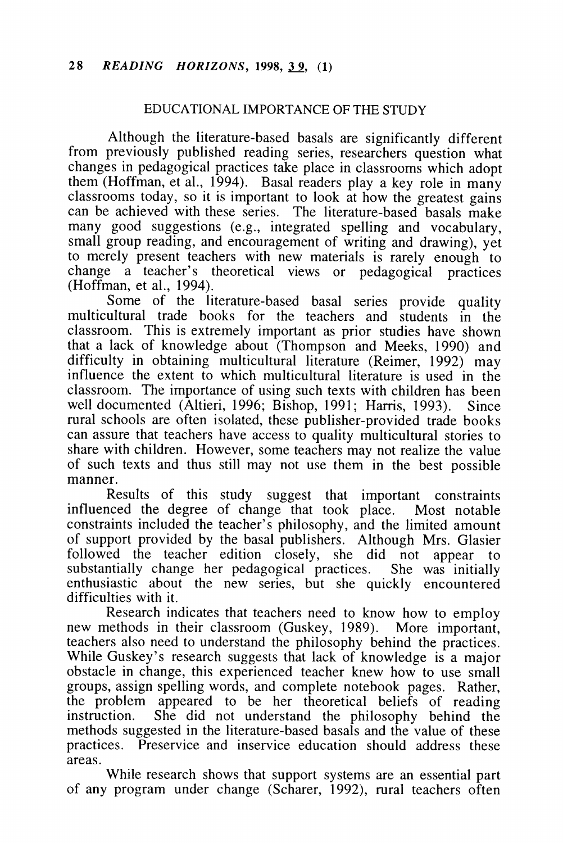#### EDUCATIONAL IMPORTANCE OF THE STUDY

Although the literature-based basals are significantly different from previously published reading series, researchers question what changes in pedagogical practices take place in classrooms which adopt them (Hoffman, et al., 1994). Basal readers play a key role in many classrooms today, so it is important to look at how the greatest gains can be achieved with these series. The literature-based basals make many good suggestions (e.g., integrated spelling and vocabulary, small group reading, and encouragement of writing and drawing), yet to merely present teachers with new materials is rarely enough to change a teacher's theoretical views or pedagogical practices (Hoffman, et al., 1994).

Some of the literature-based basal series provide quality multicultural trade books for the teachers and students in the classroom. This is extremely important as prior studies have shown that a lack of knowledge about (Thompson and Meeks, 1990) and difficulty in obtaining multicultural literature (Reimer, 1992) may influence the extent to which multicultural literature is used in the classroom. The importance of using such texts with children has been well documented (Altieri, 1996; Bishop, 1991; Harris, 1993). Since rural schools are often isolated, these publisher-provided trade books can assure that teachers have access to quality multicultural stories to share with children. However, some teachers may not realize the value of such texts and thus still may not use them in the best possible manner.

Results of this study suggest that important constraints influenced the degree of change that took place. Most notable constraints included the teacher's philosophy, and the limited amount of support provided by the basal publishers. Although Mrs. Glasier followed the teacher edition closely, she did not appear to substantially change her pedagogical practices. She was initially enthusiastic about the new series, but she quickly encountered difficulties with it.

Research indicates that teachers need to know how to employ new methods in their classroom (Guskey, 1989). More important, teachers also need to understand the philosophy behind the practices. While Guskey's research suggests that lack of knowledge is a major obstacle in change, this experienced teacher knew how to use small groups, assign spelling words, and complete notebook pages. Rather, the problem appeared to be her theoretical beliefs of reading instruction. She did not understand the philosophy behind the methods suggested in the literature-based basals and the value of these practices. Preservice and inservice education should address these areas.

While research shows that support systems are an essential part of any program under change (Scharer, 1992), rural teachers often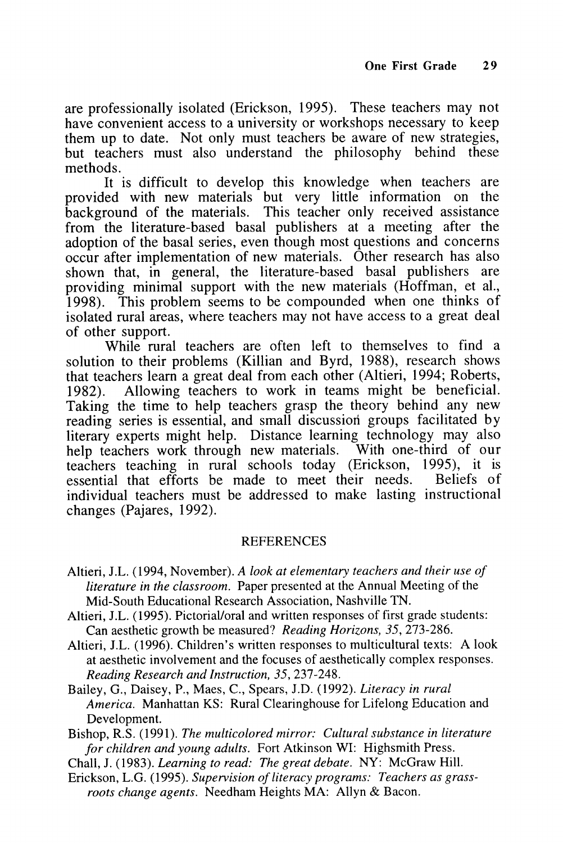are professionally isolated (Erickson, 1995). These teachers may not have convenient access to a university or workshops necessary to keep them up to date. Not only must teachers be aware of new strategies, but teachers must also understand the philosophy behind these methods.

It is difficult to develop this knowledge when teachers are provided with new materials but very little information on the background of the materials. This teacher only received assistance from the literature-based basal publishers at a meeting after the adoption of the basal series, even though most questions and concerns occur after implementation of new materials. Other research has also shown that, in general, the literature-based basal publishers are providing minimal support with the new materials (Hoffman, et al., 1998). This problem seems to be compounded when one thinks of isolated rural areas, where teachers may not have access to a great deal of other support.

While rural teachers are often left to themselves to find a solution to their problems (Killian and Byrd, 1988), research shows that teachers learn a great deal from each other (Altieri, 1994; Roberts, 1982). Allowing teachers to work in teams might be beneficial. Taking the time to help teachers grasp the theory behind any new reading series is essential, and small discussion groups facilitated by literary experts might help. Distance learning technology may also help teachers work through new materials. With one-third of our help teachers work through new materials. teachers teaching in rural schools today (Erickson, 1995), it is essential that efforts be made to meet their needs. Beliefs of individual teachers must be addressed to make lasting instructional changes (Pajares, 1992).

#### REFERENCES

- Altieri, J.L. (1994, November). **A look at elementary teachers and their use of literature in the classroom.** Paper presented at the Annual Meeting of the Mid-South Educational Research Association, Nashville TN.
- Altieri, J.L. (1995). Pictorial/oral and written responses of first grade students: Can aesthetic growth be measured? **ReadingHorizons, 35,** 273-286.
- Altieri, J.L. (1996). Children's written responses to multicultural texts: A look at aesthetic involvement and the focuses of aesthetically complex responses. **Reading Research and Instruction, 35,** 237-248.
- Bailey, G., Daisey, P., Maes, C, Spears, J.D. (1992). **Literacy in rural America.** Manhattan KS: Rural Clearinghouse for Lifelong Education and Development.

Bishop, R.S. (1991). **The multicolored mirror: Cultural substance in literature for children and young adults.** Fort Atkinson WI: Highsmith Press.

- Chall, J. (1983). **Learning to read: Thegreat debate.** NY: McGraw Hill.
- Erickson, L.G. (1995). Supervision of literacy programs: Teachers as grass**roots change agents.** Needham Heights MA: Allyn & Bacon.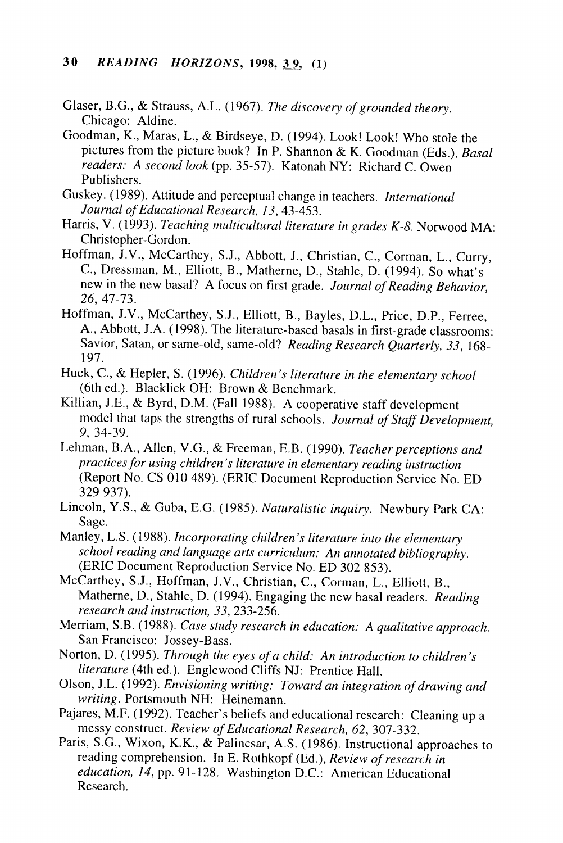- Glaser, B.G., & Strauss, A.L. (1967). The discovery of grounded theory. Chicago: Aldine.
- Goodman, K., Maras, L., & Birdseye, D. (1994). Look! Look! Who stole the pictures from the picture book? In P. Shannon & K. Goodman (Eds.), **Basal readers: A second look**(pp. 35-57). Katonah NY: Richard C. Owen Publishers.
- Guskey. (1989). Attitude and perceptual change in teachers. **International Journal ofEducational Research, 13,** 43-453.
- Harris, V. (1993). **Teaching multicultural literature ingrades K-8.** Norwood MA: Christopher-Gordon.
- Hoffman, J.V., McCarthey, S.J., Abbott, J., Christian, C., Corman, L., Curry, C, Dressman, M., Elliott, B., Matherne, D., Stahle, D. (1994). So what's new in the new basal? A focus on first grade. *Journal of Reading Behavior*, **26, 41-73.**
- Hoffman, J.V., McCarthey, S.J., Elliott, B., Bayles, D.L., Price, D.P., Ferree, A., Abbott,J.A. (1998). The literature-based basals in first-grade classrooms: Savior, Satan, orsame-old, same-old? **Reading Research Quarterly, 33,** 168- 197.
- Huck, C, & Hepler, S. (1996). **Children's literature inthe elementary school** (6th ed.). BlacklickOH: Brown & Benchmark.
- Killian, J.E., & Byrd, D.M. (Fall 1988). A cooperative staff development model that taps the strengths of rural schools. Journal of Staff Development, **9,** 34-39.
- Lehman, B.A., Allen, V.G., & Freeman, E.B. (1990). Teacher perceptions and **practicesfor using children's literature inelementary reading instruction** (Report No. CS 010 489). (ERIC Document Reproduction Service No. ED 329 937).
- Lincoln, Y.S., & Guba, E.G. (1985). **Naturalistic inquiry.** Newbury Park CA: Sage.
- Manley, L.S.(1988). **Incorporating children's literature into the elementary school reading andlanguage arts curriculum: An annotated bibliography.** (ERIC Document Reproduction Service No. ED 302 853).
- McCarthey, S.J., Hoffman, J.V., Christian, C, Corman, L., Elliott, B., Matherne, D., Stahle, D. (1994). Engaging the new basal readers. **Reading research and instruction, 33,** 233-256.
- Merriam, S.B. (1988). **Case study research ineducation: Aqualitative approach.** San Francisco: Jossey-Bass.
- Norton, D. (1995). **Through the eyes of a child: An introduction to children's literature** (4th ed.). Englewood Cliffs NJ: Prentice Hall.
- Olson, J.L. (1992). **Envisioning writing: Toward anintegration ofdrawing and writing.** Portsmouth NH: Heinemann.
- Pajares, M.F. (1992). Teacher's beliefs and educational research: Cleaning up a messy construct. **Review ofEducational Research, 62,** 307-332.
- Paris, S.G.,Wixon, K.K., & Palincsar, A.S. (1986). Instructional approaches to reading comprehension. In E. Rothkopf (Ed.), *Review of research in* **education, 14,** pp. 91-128. Washington D.C.: American Educational Research.